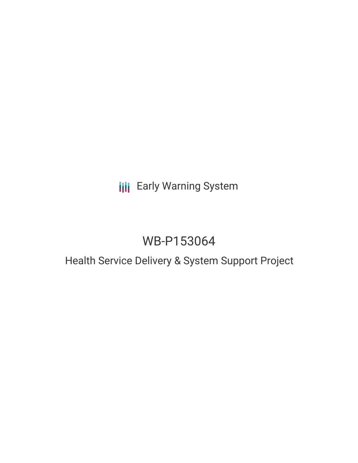## **III** Early Warning System

# WB-P153064

### Health Service Delivery & System Support Project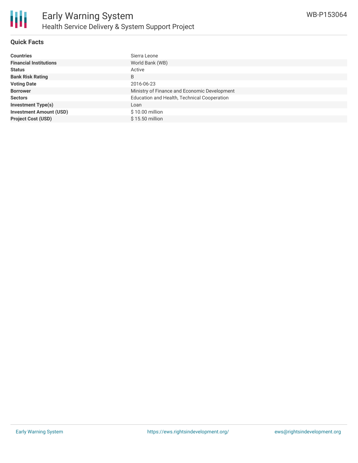

#### **Quick Facts**

| <b>Countries</b>               | Sierra Leone                                 |
|--------------------------------|----------------------------------------------|
| <b>Financial Institutions</b>  | World Bank (WB)                              |
| <b>Status</b>                  | Active                                       |
| <b>Bank Risk Rating</b>        | B                                            |
| <b>Voting Date</b>             | 2016-06-23                                   |
| <b>Borrower</b>                | Ministry of Finance and Economic Development |
| <b>Sectors</b>                 | Education and Health, Technical Cooperation  |
| <b>Investment Type(s)</b>      | Loan                                         |
| <b>Investment Amount (USD)</b> | \$10.00 million                              |
| <b>Project Cost (USD)</b>      | $$15.50$ million                             |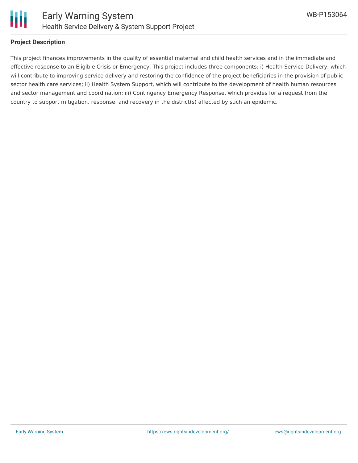

#### **Project Description**

This project finances improvements in the quality of essential maternal and child health services and in the immediate and effective response to an Eligible Crisis or Emergency. This project includes three components: i) Health Service Delivery, which will contribute to improving service delivery and restoring the confidence of the project beneficiaries in the provision of public sector health care services; ii) Health System Support, which will contribute to the development of health human resources and sector management and coordination; iii) Contingency Emergency Response, which provides for a request from the country to support mitigation, response, and recovery in the district(s) affected by such an epidemic.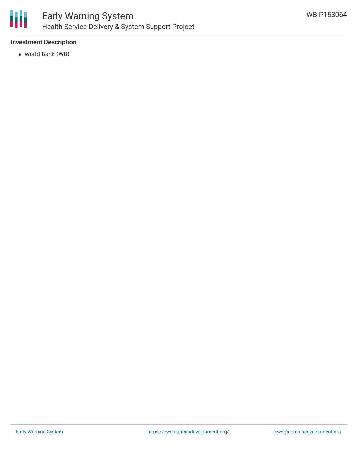

#### **Investment Description**

World Bank (WB)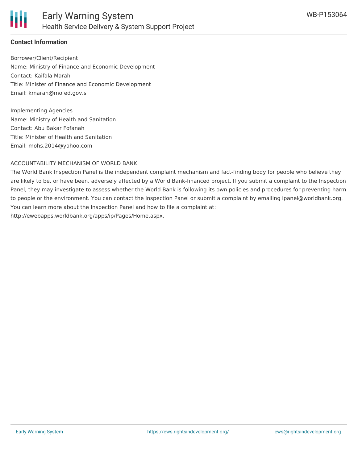

#### **Contact Information**

Borrower/Client/Recipient Name: Ministry of Finance and Economic Development Contact: Kaifala Marah Title: Minister of Finance and Economic Development Email: kmarah@mofed.gov.sl

Implementing Agencies Name: Ministry of Health and Sanitation Contact: Abu Bakar Fofanah Title: Minister of Health and Sanitation Email: mohs.2014@yahoo.com

#### ACCOUNTABILITY MECHANISM OF WORLD BANK

The World Bank Inspection Panel is the independent complaint mechanism and fact-finding body for people who believe they are likely to be, or have been, adversely affected by a World Bank-financed project. If you submit a complaint to the Inspection Panel, they may investigate to assess whether the World Bank is following its own policies and procedures for preventing harm to people or the environment. You can contact the Inspection Panel or submit a complaint by emailing ipanel@worldbank.org. You can learn more about the Inspection Panel and how to file a complaint at: http://ewebapps.worldbank.org/apps/ip/Pages/Home.aspx.